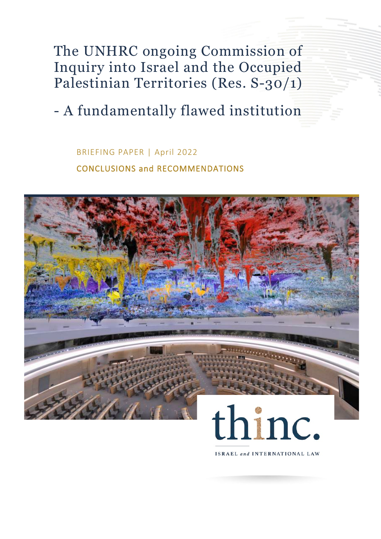The UNHRC ongoing Commission of Inquiry into Israel and the Occupied Palestinian Territories (Res. S-30/1)

- A fundamentally flawed institution

BRIEFING PAPER | April 2022 CONCLUSIONS and RECOMMENDATIONS



**ISRAEL and INTERNATIONAL LAW**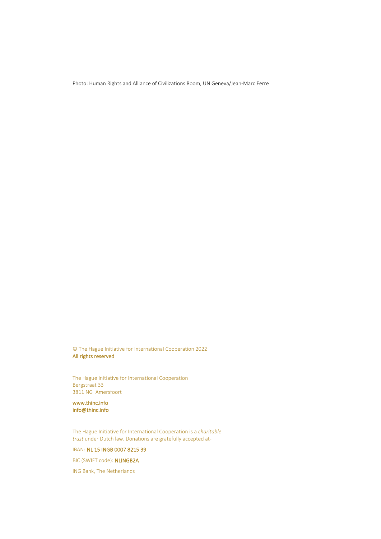Photo: Human Rights and Alliance of Civilizations Room, UN Geneva/Jean-Marc Ferre

© The Hague Initiative for International Cooperation 2022 All rights reserved

The Hague Initiative for International Cooperation Bergstraat 33 3811 NG Amersfoort

www.thinc.info info@thinc.info

The Hague Initiative for International Cooperation is a *charitable trust* under Dutch law. Donations are gratefully accepted at-

IBAN: NL 15 INGB 0007 8215 39

BIC (SWIFT code): NLINGB2A

ING Bank, The Netherlands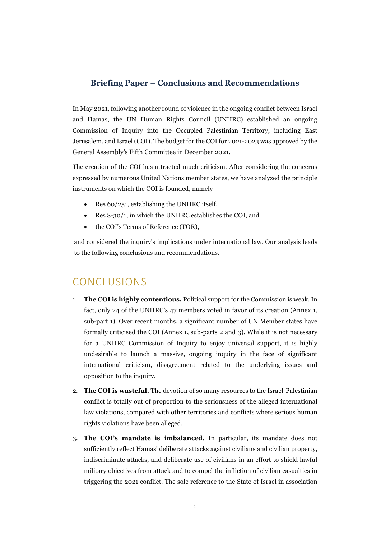## **Briefing Paper – Conclusions and Recommendations**

In May 2021, following another round of violence in the ongoing conflict between Israel and Hamas, the UN Human Rights Council (UNHRC) established an ongoing Commission of Inquiry into the Occupied Palestinian Territory, including East Jerusalem, and Israel (COI). The budget for the COI for 2021-2023 was approved by the General Assembly's Fifth Committee in December 2021.

The creation of the COI has attracted much criticism. After considering the concerns expressed by numerous United Nations member states, we have analyzed the principle instruments on which the COI is founded, namely

- Res 60/251, establishing the UNHRC itself,
- Res S-30/1, in which the UNHRC establishes the COI, and
- the COI's Terms of Reference (TOR),

and considered the inquiry's implications under international law. Our analysis leads to the following conclusions and recommendations.

## CONCLUSIONS

- 1. **The COI is highly contentious.** Political support for the Commission is weak. In fact, only 24 of the UNHRC's 47 members voted in favor of its creation (Annex 1, sub-part 1). Over recent months, a significant number of UN Member states have formally criticised the COI (Annex 1, sub-parts 2 and 3). While it is not necessary for a UNHRC Commission of Inquiry to enjoy universal support, it is highly undesirable to launch a massive, ongoing inquiry in the face of significant international criticism, disagreement related to the underlying issues and opposition to the inquiry.
- 2. **The COI is wasteful.** The devotion of so many resources to the Israel-Palestinian conflict is totally out of proportion to the seriousness of the alleged international law violations, compared with other territories and conflicts where serious human rights violations have been alleged.
- 3. **The COI's mandate is imbalanced.** In particular, its mandate does not sufficiently reflect Hamas' deliberate attacks against civilians and civilian property, indiscriminate attacks, and deliberate use of civilians in an effort to shield lawful military objectives from attack and to compel the infliction of civilian casualties in triggering the 2021 conflict. The sole reference to the State of Israel in association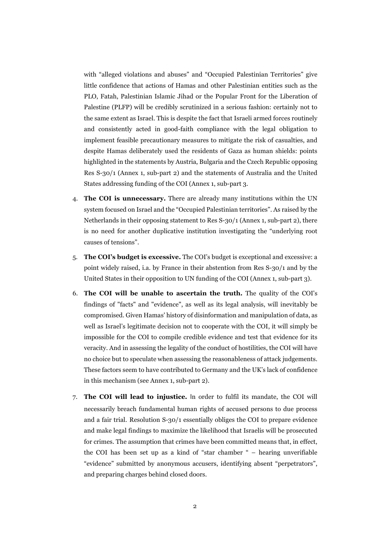with "alleged violations and abuses" and "Occupied Palestinian Territories" give little confidence that actions of Hamas and other Palestinian entities such as the PLO, Fatah, Palestinian Islamic Jihad or the Popular Front for the Liberation of Palestine (PLFP) will be credibly scrutinized in a serious fashion: certainly not to the same extent as Israel. This is despite the fact that Israeli armed forces routinely and consistently acted in good-faith compliance with the legal obligation to implement feasible precautionary measures to mitigate the risk of casualties, and despite Hamas deliberately used the residents of Gaza as human shields: points highlighted in the statements by Austria, Bulgaria and the Czech Republic opposing Res S-30/1 (Annex 1, sub-part 2) and the statements of Australia and the United States addressing funding of the COI (Annex 1, sub-part 3.

- 4. **The COI is unnecessary.** There are already many institutions within the UN system focused on Israel and the "Occupied Palestinian territories". As raised by the Netherlands in their opposing statement to Res S-30/1 (Annex 1, sub-part 2), there is no need for another duplicative institution investigating the "underlying root causes of tensions".
- 5. **The COI's budget is excessive.** The COI's budget is exceptional and excessive: a point widely raised, i.a. by France in their abstention from Res S-30/1 and by the United States in their opposition to UN funding of the COI (Annex 1, sub-part 3).
- 6. **The COI will be unable to ascertain the truth.** The quality of the COI's findings of "facts" and "evidence", as well as its legal analysis, will inevitably be compromised. Given Hamas' history of disinformation and manipulation of data, as well as Israel's legitimate decision not to cooperate with the COI, it will simply be impossible for the COI to compile credible evidence and test that evidence for its veracity. And in assessing the legality of the conduct of hostilities, the COI will have no choice but to speculate when assessing the reasonableness of attack judgements. These factors seem to have contributed to Germany and the UK's lack of confidence in this mechanism (see Annex 1, sub-part 2).
- 7. **The COI will lead to injustice.** In order to fulfil its mandate, the COI will necessarily breach fundamental human rights of accused persons to due process and a fair trial. Resolution S-30/1 essentially obliges the COI to prepare evidence and make legal findings to maximize the likelihood that Israelis will be prosecuted for crimes. The assumption that crimes have been committed means that, in effect, the COI has been set up as a kind of "star chamber " – hearing unverifiable "evidence" submitted by anonymous accusers, identifying absent "perpetrators", and preparing charges behind closed doors.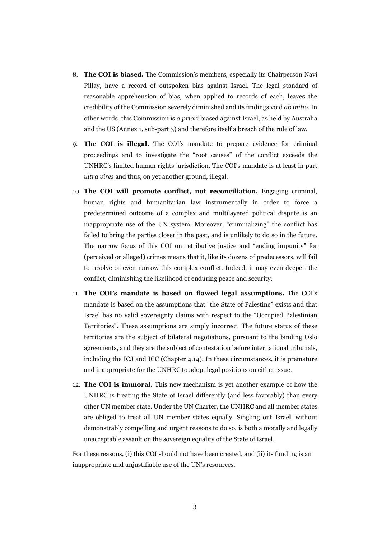- 8. **The COI is biased.** The Commission's members, especially its Chairperson Navi Pillay, have a record of outspoken bias against Israel. The legal standard of reasonable apprehension of bias, when applied to records of each, leaves the credibility of the Commission severely diminished and its findings void *ab initio*. In other words, this Commission is *a priori* biased against Israel, as held by Australia and the US (Annex 1, sub-part 3) and therefore itself a breach of the rule of law.
- 9. **The COI is illegal.** The COI's mandate to prepare evidence for criminal proceedings and to investigate the "root causes" of the conflict exceeds the UNHRC's limited human rights jurisdiction. The COI's mandate is at least in part *ultra vires* and thus, on yet another ground, illegal.
- 10. **The COI will promote conflict, not reconciliation.** Engaging criminal, human rights and humanitarian law instrumentally in order to force a predetermined outcome of a complex and multilayered political dispute is an inappropriate use of the UN system. Moreover, "criminalizing" the conflict has failed to bring the parties closer in the past, and is unlikely to do so in the future. The narrow focus of this COI on retributive justice and "ending impunity" for (perceived or alleged) crimes means that it, like its dozens of predecessors, will fail to resolve or even narrow this complex conflict. Indeed, it may even deepen the conflict, diminishing the likelihood of enduring peace and security.
- 11. **The COI's mandate is based on flawed legal assumptions.** The COI's mandate is based on the assumptions that "the State of Palestine" exists and that Israel has no valid sovereignty claims with respect to the "Occupied Palestinian Territories". These assumptions are simply incorrect. The future status of these territories are the subject of bilateral negotiations, pursuant to the binding Oslo agreements, and they are the subject of contestation before international tribunals, including the ICJ and ICC (Chapter 4.14). In these circumstances, it is premature and inappropriate for the UNHRC to adopt legal positions on either issue.
- 12. **The COI is immoral.** This new mechanism is yet another example of how the UNHRC is treating the State of Israel differently (and less favorably) than every other UN member state. Under the UN Charter, the UNHRC and all member states are obliged to treat all UN member states equally. Singling out Israel, without demonstrably compelling and urgent reasons to do so, is both a morally and legally unacceptable assault on the sovereign equality of the State of Israel.

For these reasons, (i) this COI should not have been created, and (ii) its funding is an inappropriate and unjustifiable use of the UN's resources.